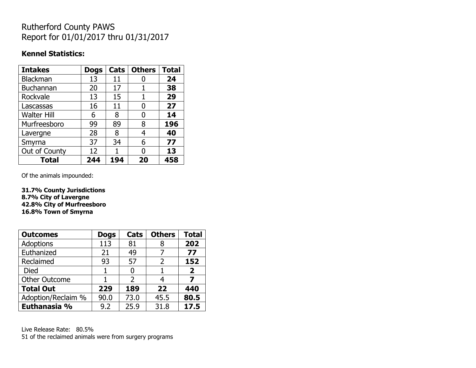## Rutherford County PAWS Report for 01/01/2017 thru 01/31/2017

#### **Kennel Statistics:**

| <b>Intakes</b>     | <b>Dogs</b> | Cats | <b>Others</b> | <b>Total</b> |
|--------------------|-------------|------|---------------|--------------|
| <b>Blackman</b>    | 13          | 11   |               | 24           |
| <b>Buchannan</b>   | 20          | 17   |               | 38           |
| Rockvale           | 13          | 15   | 1             | 29           |
| Lascassas          | 16          | 11   | 0             | 27           |
| <b>Walter Hill</b> | 6           | 8    | 0             | 14           |
| Murfreesboro       | 99          | 89   | 8             | 196          |
| Lavergne           | 28          | 8    | 4             | 40           |
| Smyrna             | 37          | 34   | 6             | 77           |
| Out of County      | 12          |      | 0             | 13           |
| <b>Total</b>       | 244         | 194  | 20            | 458          |

Of the animals impounded:

**31.7% County Jurisdictions 8.7% City of Lavergne 42.8% City of Murfreesboro 16.8% Town of Smyrna**

| <b>Outcomes</b>      | <b>Dogs</b> | <b>Cats</b>   | <b>Others</b> | <b>Total</b>   |
|----------------------|-------------|---------------|---------------|----------------|
| <b>Adoptions</b>     | 113         | 81            | 8             | 202            |
| Euthanized           | 21          | 49            |               | 77             |
| Reclaimed            | 93          | 57            | C             | 152            |
| <b>Died</b>          |             |               |               | $\overline{2}$ |
| <b>Other Outcome</b> |             | $\mathcal{P}$ |               | 7              |
| <b>Total Out</b>     | 229         | 189           | 22            | 440            |
| Adoption/Reclaim %   | 90.0        | 73.0          | 45.5          | 80.5           |
| Euthanasia %         | 9.2         | 25.9          | 31.8          | 17.5           |

Live Release Rate: 80.5% 51 of the reclaimed animals were from surgery programs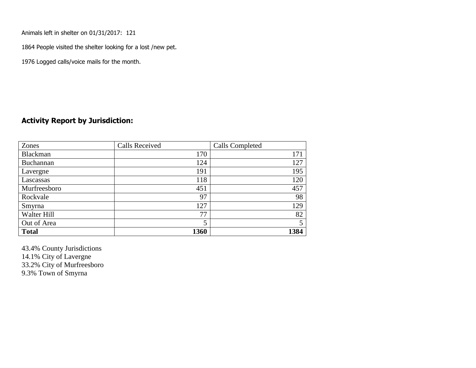Animals left in shelter on 01/31/2017: 121

1864 People visited the shelter looking for a lost /new pet.

1976 Logged calls/voice mails for the month.

#### **Activity Report by Jurisdiction:**

| Zones           | <b>Calls Received</b> | Calls Completed |
|-----------------|-----------------------|-----------------|
| <b>Blackman</b> | 170                   | 171             |
| Buchannan       | 124                   | 127             |
| Lavergne        | 191                   | 195             |
| Lascassas       | 118                   | 120             |
| Murfreesboro    | 451                   | 457             |
| Rockvale        | 97                    | 98              |
| Smyrna          | 127                   | 129             |
| Walter Hill     | 77                    | 82              |
| Out of Area     | 5                     |                 |
| <b>Total</b>    | 1360                  | 1384            |

43.4% County Jurisdictions 14.1% City of Lavergne 33.2% City of Murfreesboro 9.3% Town of Smyrna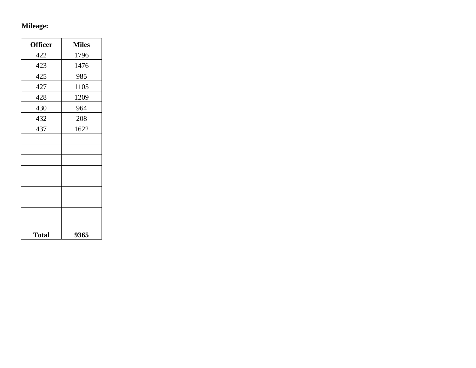# **Mileage:**

| <b>Officer</b> | <b>Miles</b> |
|----------------|--------------|
| 422            | 1796         |
| 423            | 1476         |
| 425            | 985          |
| 427            | 1105         |
| 428            | 1209         |
| 430            | 964          |
| 432            | 208          |
| 437            | 1622         |
|                |              |
|                |              |
|                |              |
|                |              |
|                |              |
|                |              |
|                |              |
|                |              |
|                |              |
| <b>Total</b>   | 9365         |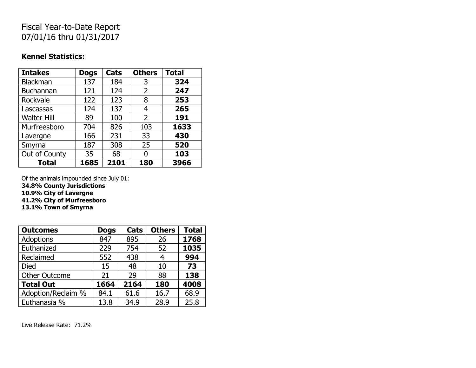# Fiscal Year-to-Date Report 07/01/16 thru 01/31/2017

#### **Kennel Statistics:**

| <b>Intakes</b>     | <b>Dogs</b> | Cats | <b>Others</b>  | <b>Total</b> |
|--------------------|-------------|------|----------------|--------------|
| <b>Blackman</b>    | 137         | 184  | 3              | 324          |
| <b>Buchannan</b>   | 121         | 124  | 2              | 247          |
| Rockvale           | 122         | 123  | 8              | 253          |
| Lascassas          | 124         | 137  | 4              | 265          |
| <b>Walter Hill</b> | 89          | 100  | $\overline{2}$ | 191          |
| Murfreesboro       | 704         | 826  | 103            | 1633         |
| Lavergne           | 166         | 231  | 33             | 430          |
| Smyrna             | 187         | 308  | 25             | 520          |
| Out of County      | 35          | 68   | O              | 103          |
| <b>Total</b>       | 1685        | 2101 | 180            | 3966         |

Of the animals impounded since July 01:

**34.8% County Jurisdictions**

**10.9% City of Lavergne**

**41.2% City of Murfreesboro**

**13.1% Town of Smyrna**

| <b>Outcomes</b>      | <b>Dogs</b> | Cats | <b>Others</b> | <b>Total</b> |
|----------------------|-------------|------|---------------|--------------|
| Adoptions            | 847         | 895  | 26            | 1768         |
| Euthanized           | 229         | 754  | 52            | 1035         |
| Reclaimed            | 552         | 438  | 4             | 994          |
| <b>Died</b>          | 15          | 48   | 10            | 73           |
| <b>Other Outcome</b> | 21          | 29   | 88            | 138          |
| <b>Total Out</b>     | 1664        | 2164 | 180           | 4008         |
| Adoption/Reclaim %   | 84.1        | 61.6 | 16.7          | 68.9         |
| Euthanasia %         | 13.8        | 34.9 | 28.9          | 25.8         |

Live Release Rate: 71.2%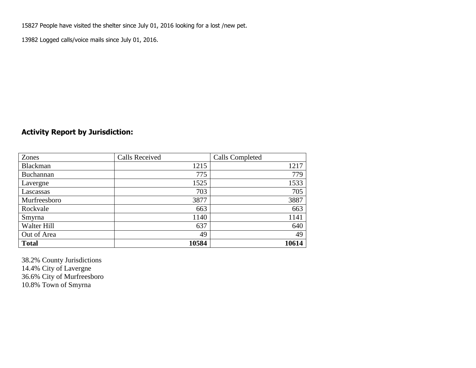15827 People have visited the shelter since July 01, 2016 looking for a lost /new pet.

13982 Logged calls/voice mails since July 01, 2016.

## **Activity Report by Jurisdiction:**

| Zones           | <b>Calls Received</b> | Calls Completed |
|-----------------|-----------------------|-----------------|
| <b>Blackman</b> | 1215                  | 1217            |
| Buchannan       | 775                   | 779             |
| Lavergne        | 1525                  | 1533            |
| Lascassas       | 703                   | 705             |
| Murfreesboro    | 3877                  | 3887            |
| Rockvale        | 663                   | 663             |
| Smyrna          | 1140                  | 1141            |
| Walter Hill     | 637                   | 640             |
| Out of Area     | 49                    | 49              |
| <b>Total</b>    | 10584                 | 10614           |

38.2% County Jurisdictions 14.4% City of Lavergne 36.6% City of Murfreesboro 10.8% Town of Smyrna